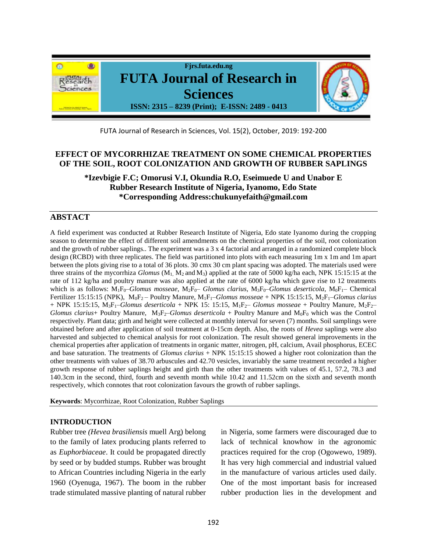

FUTA Journal of Research in Sciences, Vol. 15(2), October, 2019: 192-200

# **EFFECT OF MYCORRHIZAE TREATMENT ON SOME CHEMICAL PROPERTIES OF THE SOIL, ROOT COLONIZATION AND GROWTH OF RUBBER SAPLINGS**

**\*Izevbigie F.C; Omorusi V.I, Okundia R.O, Eseimuede U and Unabor E Rubber Research Institute of Nigeria, Iyanomo, Edo State \*Corresponding Address:chukunyefaith@gmail.com**

## **ABSTACT**

A field experiment was conducted at Rubber Research Institute of Nigeria, Edo state Iyanomo during the cropping season to determine the effect of different soil amendments on the chemical properties of the soil, root colonization and the growth of rubber saplings.. The experiment was a 3 x 4 factorial and arranged in a randomized complete block design (RCBD) with three replicates. The field was partitioned into plots with each measuring 1m x 1m and 1m apart between the plots giving rise to a total of 36 plots. 30 cmx 30 cm plant spacing was adopted. The materials used were three strains of the mycorrhiza *Glomus* (M1, M2 and M3) applied at the rate of 5000 kg/ha each, NPK 15:15:15 at the rate of 112 kg/ha and poultry manure was also applied at the rate of 6000 kg/ha which gave rise to 12 treatments which is as follows:  $M_1F_0-Glomus$  *mosseae,*  $M_2F_0-Glomus$  *clarius,*  $M_3F_0-Glomus$  *deserticola,*  $M_0F_1$ – Chemical Fertilizer 15:15:15 (NPK),  $M_0F_2$  – Poultry Manure,  $M_1F_1$ –*Glomus mosseae* + NPK 15:15:15,  $M_2F_1$ –*Glomus clarius*  $+$  NPK 15:15:15, M<sub>3</sub>F<sub>1</sub>–*Glomus deserticola* + NPK 15:15, M<sub>1</sub>F<sub>2</sub>– *Glomus mosseae* + Poultry Manure, M<sub>2</sub>F<sub>2</sub>– *Glomus clarius*+ Poultry Manure,  $M_3F_2$ –*Glomus deserticola* + Poultry Manure and  $M_0F_0$  which was the Control respectively. Plant data; girth and height were collected at monthly interval for seven (7) months. Soil samplings were obtained before and after application of soil treatment at 0-15cm depth. Also, the roots of *Hevea* saplings were also harvested and subjected to chemical analysis for root colonization. The result showed general improvements in the chemical properties after application of treatments in organic matter, nitrogen, pH, calcium, Avail phosphorus, ECEC and base saturation. The treatments of *Glomus clarius* + NPK 15:15:15 showed a higher root colonization than the other treatments with values of 38.70 arbuscules and 42.70 vesicles, invariably the same treatment recorded a higher growth response of rubber saplings height and girth than the other treatments with values of 45.1, 57.2, 78.3 and 140.3cm in the second, third, fourth and seventh month while 10.42 and 11.52cm on the sixth and seventh month respectively, which connotes that root colonization favours the growth of rubber saplings.

**Keywords**: Mycorrhizae, Root Colonization, Rubber Saplings

### **INTRODUCTION**

Rubber tree *(Hevea brasiliensis* muell Arg) belong to the family of latex producing plants referred to as *Euphorbiaceae*. It could be propagated directly by seed or by budded stumps. Rubber was brought to African Countries including Nigeria in the early 1960 (Oyenuga, 1967). The boom in the rubber trade stimulated massive planting of natural rubber in Nigeria, some farmers were discouraged due to lack of technical knowhow in the agronomic practices required for the crop (Ogowewo, 1989). It has very high commercial and industrial valued in the manufacture of various articles used daily. One of the most important basis for increased rubber production lies in the development and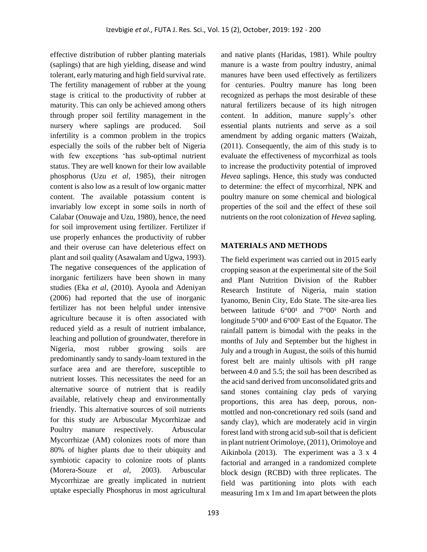effective distribution of rubber planting materials (saplings) that are high yielding, disease and wind tolerant, early maturing and high field survival rate. The fertility management of rubber at the young stage is critical to the productivity of rubber at maturity. This can only be achieved among others through proper soil fertility management in the nursery where saplings are produced. Soil infertility is a common problem in the tropics especially the soils of the rubber belt of Nigeria with few exceptions 'has sub-optimal nutrient status. They are well known for their low available phosphorus (Uzu *et al*, 1985), their nitrogen content is also low as a result of low organic matter content. The available potassium content is invariably low except in some soils in north of Calabar (Onuwaje and Uzu, 1980), hence, the need for soil improvement using fertilizer. Fertilizer if use properly enhances the productivity of rubber and their overuse can have deleterious effect on plant and soil quality (Asawalam and Ugwa, 1993). The negative consequences of the application of inorganic fertilizers have been shown in many studies (Eka *et al,* (2010). Ayoola and Adeniyan (2006) had reported that the use of inorganic fertilizer has not been helpful under intensive agriculture because it is often associated with reduced yield as a result of nutrient imbalance, leaching and pollution of groundwater, therefore in Nigeria, most rubber growing soils are predominantly sandy to sandy-loam textured in the surface area and are therefore, susceptible to nutrient losses. This necessitates the need for an alternative source of nutrient that is readily available, relatively cheap and environmentally friendly. This alternative sources of soil nutrients for this study are Arbuscular Mycorrhizae and Poultry manure respectively. Arbuscular Mycorrhizae (AM) colonizes roots of more than 80% of higher plants due to their ubiquity and symbiotic capacity to colonize roots of plants (Morera-Souze *et al*, 2003). Arbuscular Mycorrhizae are greatly implicated in nutrient uptake especially Phosphorus in most agricultural

and native plants (Haridas, 1981). While poultry manure is a waste from poultry industry, animal manures have been used effectively as fertilizers for centuries. Poultry manure has long been recognized as perhaps the most desirable of these natural fertilizers because of its high nitrogen content. In addition, manure supply's other essential plants nutrients and serve as a soil amendment by adding organic matters (Waizah, (2011). Consequently, the aim of this study is to evaluate the effectiveness of mycorrhizal as tools to increase the productivity potential of improved *Hevea* saplings. Hence, this study was conducted to determine: the effect of mycorrhizal, NPK and poultry manure on some chemical and biological properties of the soil and the effect of these soil nutrients on the root colonization of *Hevea* sapling.

### **MATERIALS AND METHODS**

The field experiment was carried out in 2015 early cropping season at the experimental site of the Soil and Plant Nutrition Division of the Rubber Research Institute of Nigeria, main station Iyanomo, Benin City, Edo State. The site-area lies between latitude  $6^{\circ}00^1$  and  $7^{\circ}00^1$  North and longitude  $5^{\circ}00^1$  and  $6^{\circ}00^1$  East of the Equator. The rainfall pattern is bimodal with the peaks in the months of July and September but the highest in July and a trough in August, the soils of this humid forest belt are mainly ultisols with pH range between 4.0 and 5.5; the soil has been described as the acid sand derived from unconsolidated grits and sand stones containing clay peds of varying proportions, this area has deep, porous, nonmottled and non-concretionary red soils (sand and sandy clay), which are moderately acid in virgin forest land with strong acid sub-soil that is deficient in plant nutrient Orimoloye, (2011), Orimoloye and Aikinbola (2013). The experiment was a 3 x 4 factorial and arranged in a randomized complete block design (RCBD) with three replicates. The field was partitioning into plots with each measuring 1m x 1m and 1m apart between the plots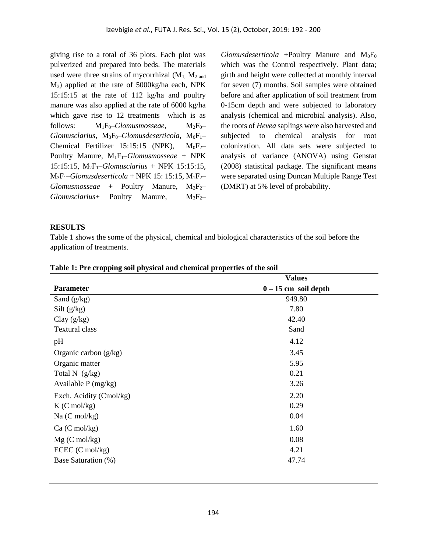giving rise to a total of 36 plots. Each plot was pulverized and prepared into beds. The materials used were three strains of mycorrhizal  $(M_1, M_2)$  and M3) applied at the rate of 5000kg/ha each, NPK 15:15:15 at the rate of 112 kg/ha and poultry manure was also applied at the rate of 6000 kg/ha which gave rise to 12 treatments which is as follows:  $M_1F_0$ –*Glomusmosseae*,  $M_2F_0$ –  $G$ *lomusclarius,*  $M_3F_0$ – $G$ *lomusdeserticola,*  $M_0F_1$ – Chemical Fertilizer 15:15:15 (NPK),  $M_0F_2$ -Poultry Manure, M1F1–*Glomusmosseae* + NPK 15:15:15, M2F1–*Glomusclarius* + NPK 15:15:15,  $M_3F_1-Glomusdeserticola + NPK$  15: 15:15,  $M_1F_2 G$ *lomusmosseae* + Poultry Manure,  $M_2F_2$ *Glomusclarius*+ Poultry Manure,  $M_3F_2$ 

 $G$ *lomusdeserticola* +Poultry Manure and  $M_0F_0$ which was the Control respectively. Plant data; girth and height were collected at monthly interval for seven (7) months. Soil samples were obtained before and after application of soil treatment from 0-15cm depth and were subjected to laboratory analysis (chemical and microbial analysis). Also, the roots of *Hevea* saplings were also harvested and subjected to chemical analysis for root colonization. All data sets were subjected to analysis of variance (ANOVA) using Genstat (2008) statistical package. The significant means were separated using Duncan Multiple Range Test (DMRT) at 5% level of probability.

### **RESULTS**

Table 1 shows the some of the physical, chemical and biological characteristics of the soil before the application of treatments.

|                         | <b>Values</b>          |
|-------------------------|------------------------|
| <b>Parameter</b>        | $0 - 15$ cm soil depth |
| Sand $(g/kg)$           | 949.80                 |
| Silt $(g/kg)$           | 7.80                   |
| Clay $(g/kg)$           | 42.40                  |
| <b>Textural class</b>   | Sand                   |
| pH                      | 4.12                   |
| Organic carbon $(g/kg)$ | 3.45                   |
| Organic matter          | 5.95                   |
| Total N $(g/kg)$        | 0.21                   |
| Available P (mg/kg)     | 3.26                   |
| Exch. Acidity (Cmol/kg) | 2.20                   |
| $K(C \text{ mol/kg})$   | 0.29                   |
| Na $(C \text{ mol/kg})$ | 0.04                   |
| Ca (C mol/kg)           | 1.60                   |
| $Mg$ (C mol/kg)         | 0.08                   |
| $ECEC$ (C mol/kg)       | 4.21                   |
| Base Saturation (%)     | 47.74                  |

#### **Table 1: Pre cropping soil physical and chemical properties of the soil**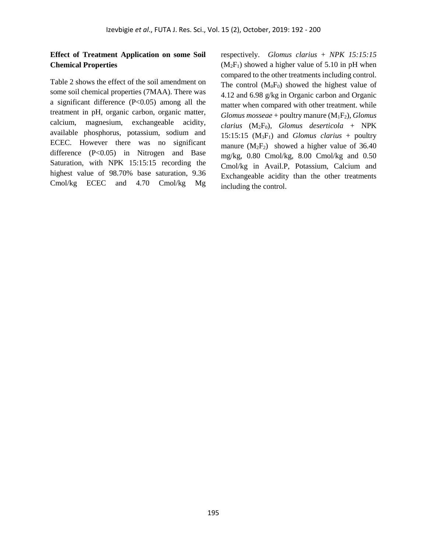### **Effect of Treatment Application on some Soil Chemical Properties**

Table 2 shows the effect of the soil amendment on some soil chemical properties (7MAA). There was a significant difference (P<0.05) among all the treatment in pH, organic carbon, organic matter, calcium, magnesium, exchangeable acidity, available phosphorus, potassium, sodium and ECEC. However there was no significant difference (P<0.05) in Nitrogen and Base Saturation, with NPK 15:15:15 recording the highest value of 98.70% base saturation, 9.36 Cmol/kg ECEC and 4.70 Cmol/kg Mg

respectively. *Glomus clarius* + *NPK 15:15:15*   $(M_2F_1)$  showed a higher value of 5.10 in pH when compared to the other treatments including control. The control  $(M_0F_0)$  showed the highest value of 4.12 and 6.98 g/kg in Organic carbon and Organic matter when compared with other treatment. while *Glomus mosseae* + poultry manure  $(M_1F_2)$ , *Glomus clarius* (M2F0)*, Glomus deserticola* + NPK 15:15:15  $(M_3F_1)$  and *Glomus clarius* + poultry manure  $(M_2F_2)$  showed a higher value of 36.40 mg/kg, 0.80 Cmol/kg, 8.00 Cmol/kg and 0.50 Cmol/kg in Avail.P, Potassium, Calcium and Exchangeable acidity than the other treatments including the control.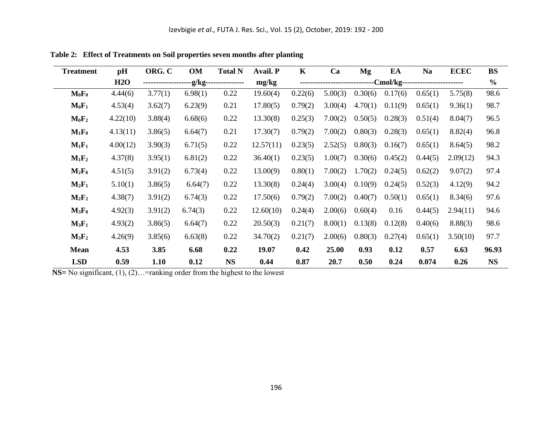| <b>Treatment</b> | pH       | ORG. C               | OM      | <b>Total N</b> | <b>Avail. P</b>                 | $\mathbf K$ | Ca      | Mg      | EA            | <b>Na</b> | <b>ECEC</b> | <b>BS</b> |
|------------------|----------|----------------------|---------|----------------|---------------------------------|-------------|---------|---------|---------------|-----------|-------------|-----------|
|                  | H2O      | -g/kg--------------- |         | mg/kg          | Cmol/kg------------------------ |             |         |         | $\frac{6}{6}$ |           |             |           |
| $M_0F_0$         | 4.44(6)  | 3.77(1)              | 6.98(1) | 0.22           | 19.60(4)                        | 0.22(6)     | 5.00(3) | 0.30(6) | 0.17(6)       | 0.65(1)   | 5.75(8)     | 98.6      |
| $M_0F_1$         | 4.53(4)  | 3.62(7)              | 6.23(9) | 0.21           | 17.80(5)                        | 0.79(2)     | 3.00(4) | 4.70(1) | 0.11(9)       | 0.65(1)   | 9.36(1)     | 98.7      |
| $M_0F_2$         | 4.22(10) | 3.88(4)              | 6.68(6) | 0.22           | 13.30(8)                        | 0.25(3)     | 7.00(2) | 0.50(5) | 0.28(3)       | 0.51(4)   | 8.04(7)     | 96.5      |
| $M_1F_0$         | 4.13(11) | 3.86(5)              | 6.64(7) | 0.21           | 17.30(7)                        | 0.79(2)     | 7.00(2) | 0.80(3) | 0.28(3)       | 0.65(1)   | 8.82(4)     | 96.8      |
| $M_1F_1$         | 4.00(12) | 3.90(3)              | 6.71(5) | 0.22           | 12.57(11)                       | 0.23(5)     | 2.52(5) | 0.80(3) | 0.16(7)       | 0.65(1)   | 8.64(5)     | 98.2      |
| $M_1F_2$         | 4.37(8)  | 3.95(1)              | 6.81(2) | 0.22           | 36.40(1)                        | 0.23(5)     | 1.00(7) | 0.30(6) | 0.45(2)       | 0.44(5)   | 2.09(12)    | 94.3      |
| $M_2F_0$         | 4.51(5)  | 3.91(2)              | 6.73(4) | 0.22           | 13.00(9)                        | 0.80(1)     | 7.00(2) | 1.70(2) | 0.24(5)       | 0.62(2)   | 9.07(2)     | 97.4      |
| $M_2F_1$         | 5.10(1)  | 3.86(5)              | 6.64(7) | 0.22           | 13.30(8)                        | 0.24(4)     | 3.00(4) | 0.10(9) | 0.24(5)       | 0.52(3)   | 4.12(9)     | 94.2      |
| $M_2F_2$         | 4.38(7)  | 3.91(2)              | 6.74(3) | 0.22           | 17.50(6)                        | 0.79(2)     | 7.00(2) | 0.40(7) | 0.50(1)       | 0.65(1)   | 8.34(6)     | 97.6      |
| $M_3F_0$         | 4.92(3)  | 3.91(2)              | 6.74(3) | 0.22           | 12.60(10)                       | 0.24(4)     | 2.00(6) | 0.60(4) | 0.16          | 0.44(5)   | 2.94(11)    | 94.6      |
| $M_3F_1$         | 4.93(2)  | 3.86(5)              | 6.64(7) | 0.22           | 20.50(3)                        | 0.21(7)     | 8.00(1) | 0.13(8) | 0.12(8)       | 0.40(6)   | 8.88(3)     | 98.6      |
| $M_3F_2$         | 4.26(9)  | 3.85(6)              | 6.63(8) | 0.22           | 34.70(2)                        | 0.21(7)     | 2.00(6) | 0.80(3) | 0.27(4)       | 0.65(1)   | 3.50(10)    | 97.7      |
| <b>Mean</b>      | 4.53     | 3.85                 | 6.68    | 0.22           | 19.07                           | 0.42        | 25.00   | 0.93    | 0.12          | 0.57      | 6.63        | 96.93     |
| <b>LSD</b>       | 0.59     | 1.10                 | 0.12    | <b>NS</b>      | 0.44                            | 0.87        | 20.7    | 0.50    | 0.24          | 0.074     | 0.26        | <b>NS</b> |

**Table 2: Effect of Treatments on Soil properties seven months after planting**

**NS=** No significant, (1), (2)…=ranking order from the highest to the lowest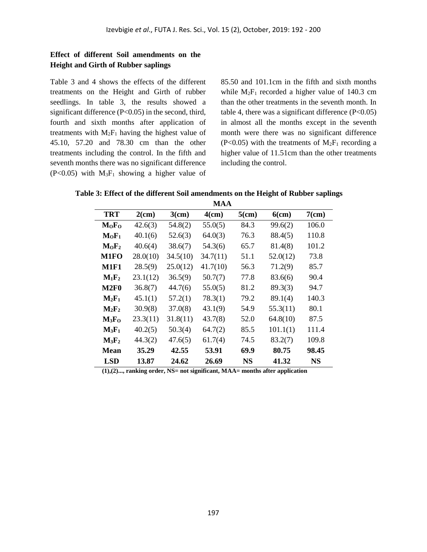### **Effect of different Soil amendments on the Height and Girth of Rubber saplings**

Table 3 and 4 shows the effects of the different treatments on the Height and Girth of rubber seedlings. In table 3, the results showed a significant difference (P<0.05) in the second, third, fourth and sixth months after application of treatments with  $M_2F_1$  having the highest value of 45.10, 57.20 and 78.30 cm than the other treatments including the control. In the fifth and seventh months there was no significant difference  $(P<0.05)$  with  $M_3F_1$  showing a higher value of 85.50 and 101.1cm in the fifth and sixth months while  $M_2F_1$  recorded a higher value of 140.3 cm than the other treatments in the seventh month. In table 4, there was a significant difference  $(P<0.05)$ in almost all the months except in the seventh month were there was no significant difference (P<0.05) with the treatments of  $M_2F_1$  recording a higher value of 11.51cm than the other treatments including the control.

 **Table 3: Effect of the different Soil amendments on the Height of Rubber saplings**

|             |          |          | <b>MAA</b> |           |          |           |
|-------------|----------|----------|------------|-----------|----------|-----------|
| <b>TRT</b>  | $2$ (cm) | $3$ (cm) | $4$ (cm)   | $5$ (cm)  | $6$ (cm) | $7$ (cm)  |
| $M_0F_0$    | 42.6(3)  | 54.8(2)  | 55.0(5)    | 84.3      | 99.6(2)  | 106.0     |
| $M_0F_1$    | 40.1(6)  | 52.6(3)  | 64.0(3)    | 76.3      | 88.4(5)  | 110.8     |
| $M_0F_2$    | 40.6(4)  | 38.6(7)  | 54.3(6)    | 65.7      | 81.4(8)  | 101.2     |
| M1FO        | 28.0(10) | 34.5(10) | 34.7(11)   | 51.1      | 52.0(12) | 73.8      |
| <b>M1F1</b> | 28.5(9)  | 25.0(12) | 41.7(10)   | 56.3      | 71.2(9)  | 85.7      |
| $M_1F_2$    | 23.1(12) | 36.5(9)  | 50.7(7)    | 77.8      | 83.6(6)  | 90.4      |
| <b>M2F0</b> | 36.8(7)  | 44.7(6)  | 55.0(5)    | 81.2      | 89.3(3)  | 94.7      |
| $M_2F_1$    | 45.1(1)  | 57.2(1)  | 78.3(1)    | 79.2      | 89.1(4)  | 140.3     |
| $M_2F_2$    | 30.9(8)  | 37.0(8)  | 43.1(9)    | 54.9      | 55.3(11) | 80.1      |
| $M_3F_0$    | 23.3(11) | 31.8(11) | 43.7(8)    | 52.0      | 64.8(10) | 87.5      |
| $M_3F_1$    | 40.2(5)  | 50.3(4)  | 64.7(2)    | 85.5      | 101.1(1) | 111.4     |
| $M_3F_2$    | 44.3(2)  | 47.6(5)  | 61.7(4)    | 74.5      | 83.2(7)  | 109.8     |
| <b>Mean</b> | 35.29    | 42.55    | 53.91      | 69.9      | 80.75    | 98.45     |
| <b>LSD</b>  | 13.87    | 24.62    | 26.69      | <b>NS</b> | 41.32    | <b>NS</b> |

 **(1),(2)..., ranking order, NS= not significant, MAA= months after application**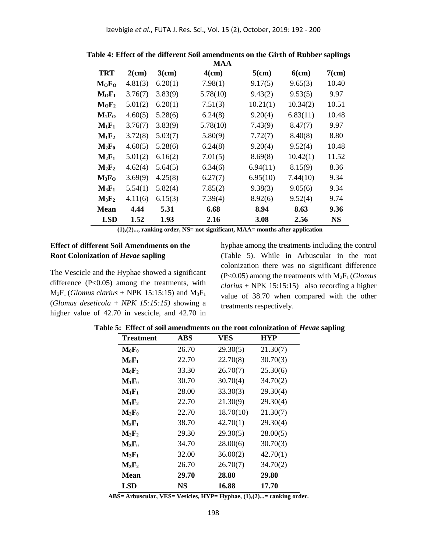|             |          |          | <b>MAA</b> |          |          |           |
|-------------|----------|----------|------------|----------|----------|-----------|
| <b>TRT</b>  | $2$ (cm) | $3$ (cm) | $4$ (cm)   | $5$ (cm) | $6$ (cm) | $7$ (cm)  |
| $M_0F_0$    | 4.81(3)  | 6.20(1)  | 7.98(1)    | 9.17(5)  | 9.65(3)  | 10.40     |
| $M_0F_1$    | 3.76(7)  | 3.83(9)  | 5.78(10)   | 9.43(2)  | 9.53(5)  | 9.97      |
| $M_0F_2$    | 5.01(2)  | 6.20(1)  | 7.51(3)    | 10.21(1) | 10.34(2) | 10.51     |
| $M_1F_O$    | 4.60(5)  | 5.28(6)  | 6.24(8)    | 9.20(4)  | 6.83(11) | 10.48     |
| $M_1F_1$    | 3.76(7)  | 3.83(9)  | 5.78(10)   | 7.43(9)  | 8.47(7)  | 9.97      |
| $M_1F_2$    | 3.72(8)  | 5.03(7)  | 5.80(9)    | 7.72(7)  | 8.40(8)  | 8.80      |
| $M_2F_0$    | 4.60(5)  | 5.28(6)  | 6.24(8)    | 9.20(4)  | 9.52(4)  | 10.48     |
| $M_2F_1$    | 5.01(2)  | 6.16(2)  | 7.01(5)    | 8.69(8)  | 10.42(1) | 11.52     |
| $M_2F_2$    | 4.62(4)  | 5.64(5)  | 6.34(6)    | 6.94(11) | 8.15(9)  | 8.36      |
| $M_3F_0$    | 3.69(9)  | 4.25(8)  | 6.27(7)    | 6.95(10) | 7.44(10) | 9.34      |
| $M_3F_1$    | 5.54(1)  | 5.82(4)  | 7.85(2)    | 9.38(3)  | 9.05(6)  | 9.34      |
| $M_3F_2$    | 4.11(6)  | 6.15(3)  | 7.39(4)    | 8.92(6)  | 9.52(4)  | 9.74      |
| <b>Mean</b> | 4.44     | 5.31     | 6.68       | 8.94     | 8.63     | 9.36      |
| <b>LSD</b>  | 1.52     | 1.93     | 2.16       | 3.08     | 2.56     | <b>NS</b> |

 **Table 4: Effect of the different Soil amendments on the Girth of Rubber saplings**

 **(1),(2)..., ranking order, NS= not significant, MAA= months after application**

### **Effect of different Soil Amendments on the Root Colonization of** *Hevae* **sapling**

The Vescicle and the Hyphae showed a significant difference (P<0.05) among the treatments, with  $M_2F_1$  (*Glomus clarius* + NPK 15:15:15) and  $M_3F_1$ (*Glomus deseticola* + *NPK 15:15:15)* showing a higher value of 42.70 in vescicle, and 42.70 in hyphae among the treatments including the control (Table 5). While in Arbuscular in the root colonization there was no significant difference (P<0.05) among the treatments with M2F<sup>1</sup> (*Glomus clarius* + NPK 15:15:15) also recording a higher value of 38.70 when compared with the other treatments respectively.

| Table 5: Effect of soil amendments on the root colonization of <i>Hevae</i> sapling |  |  |  |
|-------------------------------------------------------------------------------------|--|--|--|
|-------------------------------------------------------------------------------------|--|--|--|

| <b>Treatment</b> | ABS   | VES       | HYP      |
|------------------|-------|-----------|----------|
| $M_0F_0$         | 26.70 | 29.30(5)  | 21.30(7) |
| $M_0F_1$         | 22.70 | 22.70(8)  | 30.70(3) |
| $M_0F_2$         | 33.30 | 26.70(7)  | 25.30(6) |
| $M_1F_0$         | 30.70 | 30.70(4)  | 34.70(2) |
| $M_1F_1$         | 28.00 | 33.30(3)  | 29.30(4) |
| $M_1F_2$         | 22.70 | 21.30(9)  | 29.30(4) |
| $M_2F_0$         | 22.70 | 18.70(10) | 21.30(7) |
| $M_2F_1$         | 38.70 | 42.70(1)  | 29.30(4) |
| $M_2F_2$         | 29.30 | 29.30(5)  | 28.00(5) |
| $M_3F_0$         | 34.70 | 28.00(6)  | 30.70(3) |
| $M_3F_1$         | 32.00 | 36.00(2)  | 42.70(1) |
| $M_3F_2$         | 26.70 | 26.70(7)  | 34.70(2) |
| Mean             | 29.70 | 28.80     | 29.80    |
| LSD              | NS    | 16.88     | 17.70    |

 **ABS= Arbuscular, VES= Vesicles, HYP= Hyphae, (1),(2)...= ranking order.**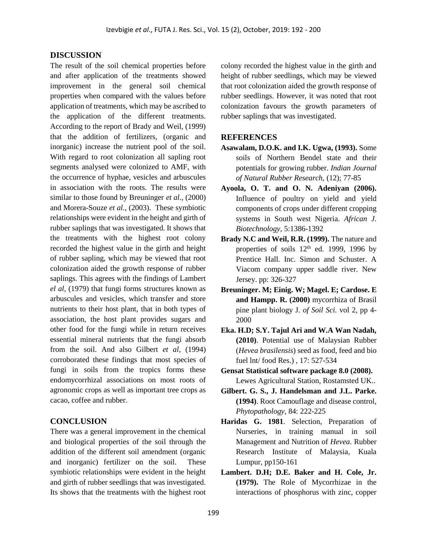#### **DISCUSSION**

The result of the soil chemical properties before and after application of the treatments showed improvement in the general soil chemical properties when compared with the values before application of treatments, which may be ascribed to the application of the different treatments. According to the report of Brady and Weil, (1999) that the addition of fertilizers, (organic and inorganic) increase the nutrient pool of the soil. With regard to root colonization all sapling root segments analysed were colonized to AMF, with the occurrence of hyphae, vesicles and arbuscules in association with the roots. The results were similar to those found by Breuninger *et al.*, (2000) and Morera-Souze *et al.,* (2003). These symbiotic relationships were evident in the height and girth of rubber saplings that was investigated. It shows that the treatments with the highest root colony recorded the highest value in the girth and height of rubber sapling, which may be viewed that root colonization aided the growth response of rubber saplings. This agrees with the findings of Lambert *el al*, (1979) that fungi forms structures known as arbuscules and vesicles, which transfer and store nutrients to their host plant, that in both types of association, the host plant provides sugars and other food for the fungi while in return receives essential mineral nutrients that the fungi absorb from the soil. And also Gilbert *et al*, (1994) corroborated these findings that most species of fungi in soils from the tropics forms these endomycorrhizal associations on most roots of agronomic crops as well as important tree crops as cacao, coffee and rubber.

### **CONCLUSION**

There was a general improvement in the chemical and biological properties of the soil through the addition of the different soil amendment (organic and inorganic) fertilizer on the soil. These symbiotic relationships were evident in the height and girth of rubber seedlings that was investigated. Its shows that the treatments with the highest root colony recorded the highest value in the girth and height of rubber seedlings, which may be viewed that root colonization aided the growth response of rubber seedlings. However, it was noted that root colonization favours the growth parameters of rubber saplings that was investigated.

#### **REFERENCES**

- **Asawalam, D.O.K. and I.K. Ugwa, (1993).** Some soils of Northern Bendel state and their potentials for growing rubber. *Indian Journal of Natural Rubber Research,* (12); 77-85
- **Ayoola, O. T. and O. N. Adeniyan (2006).** Influence of poultry on yield and yield components of crops under different cropping systems in South west Nigeria. *African J. Biotechnology*, 5:1386-1392
- **Brady N.C and Weil, R.R. (1999).** The nature and properties of soils  $12<sup>th</sup>$  ed. 1999, 1996 by Prentice Hall. Inc. Simon and Schuster. A Viacom company upper saddle river. New Jersey. pp: 326-327
- **Breuninger. M; Einig. W; Magel. E; Cardose. E and Hampp. R. (2000)** mycorrhiza of Brasil pine plant biology J*. of Soil Sci.* vol 2, pp 4- 2000
- **Eka. H.D; S.Y. Tajul Ari and W.A Wan Nadah, (2010)**. Potential use of Malaysian Rubber (*Hevea brasilensis*) seed as food, feed and bio fuel lnt/ food Res.) , 17: 527-534
- **Gensat Statistical software package 8.0 (2008).** Lewes Agricultural Station, Rostamsted UK..
- **Gilbert. G. S., J. Handelsman and J.L. Parke. (1994)**. Root Camouflage and disease control, *Phytopathology*, 84: 222-225
- **Haridas G. 1981**. Selection, Preparation of Nurseries, in training manual in soil Management and Nutrition of *Hevea*. Rubber Research Institute of Malaysia, Kuala Lumpur, pp150-161
- **Lambert. D.H; D.E. Baker and H. Cole, Jr. (1979).** The Role of Mycorrhizae in the interactions of phosphorus with zinc, copper